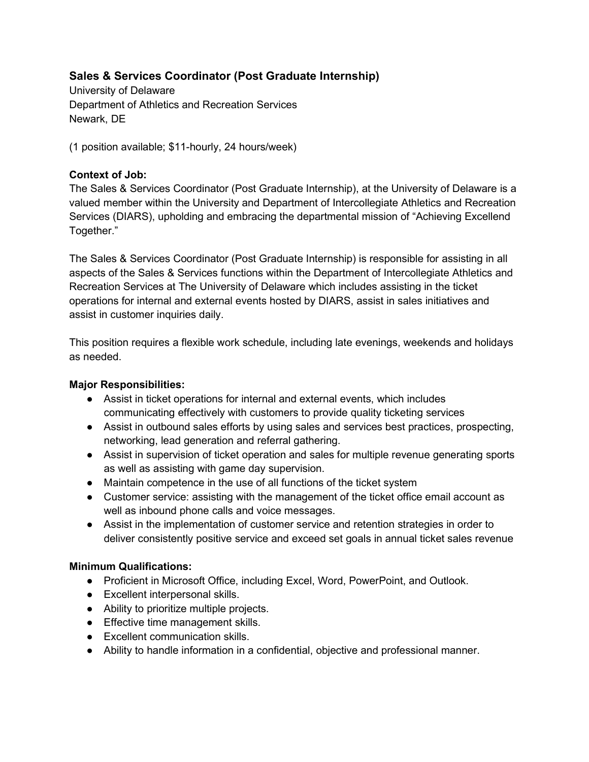# Sales & Services Coordinator (Post Graduate Internship)

University of Delaware Department of Athletics and Recreation Services Newark, DE

(1 position available; \$11-hourly, 24 hours/week)

## Context of Job:

The Sales & Services Coordinator (Post Graduate Internship), at the University of Delaware is a valued member within the University and Department of Intercollegiate Athletics and Recreation Services (DIARS), upholding and embracing the departmental mission of "Achieving Excellend Together."

The Sales & Services Coordinator (Post Graduate Internship) is responsible for assisting in all aspects of the Sales & Services functions within the Department of Intercollegiate Athletics and Recreation Services at The University of Delaware which includes assisting in the ticket operations for internal and external events hosted by DIARS, assist in sales initiatives and assist in customer inquiries daily.

This position requires a flexible work schedule, including late evenings, weekends and holidays as needed.

## Major Responsibilities:

- Assist in ticket operations for internal and external events, which includes communicating effectively with customers to provide quality ticketing services
- Assist in outbound sales efforts by using sales and services best practices, prospecting, networking, lead generation and referral gathering.
- Assist in supervision of ticket operation and sales for multiple revenue generating sports as well as assisting with game day supervision.
- Maintain competence in the use of all functions of the ticket system
- Customer service: assisting with the management of the ticket office email account as well as inbound phone calls and voice messages.
- Assist in the implementation of customer service and retention strategies in order to deliver consistently positive service and exceed set goals in annual ticket sales revenue

## Minimum Qualifications:

- Proficient in Microsoft Office, including Excel, Word, PowerPoint, and Outlook.
- Excellent interpersonal skills.
- Ability to prioritize multiple projects.
- Effective time management skills.
- Excellent communication skills.
- Ability to handle information in a confidential, objective and professional manner.